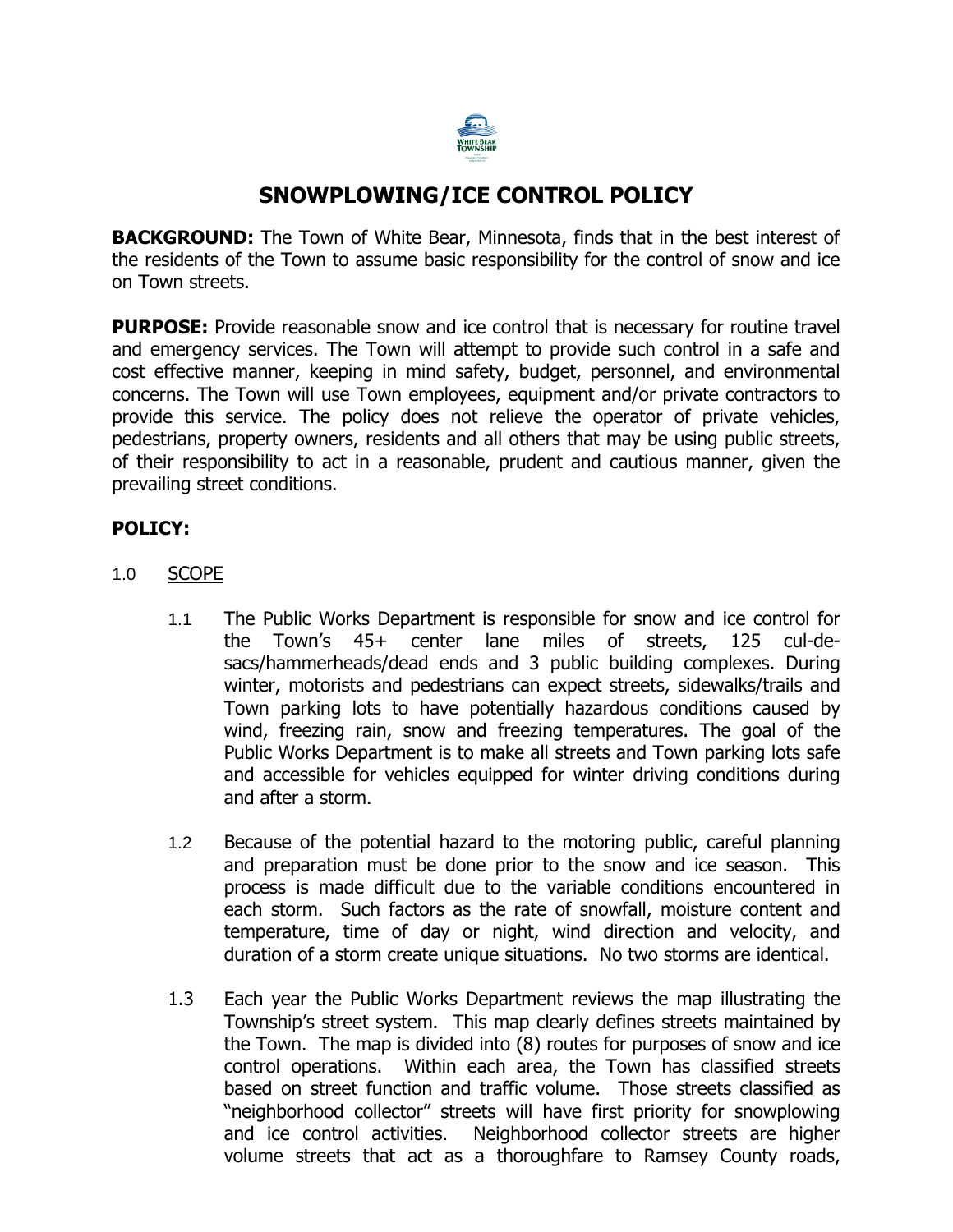

# **SNOWPLOWING/ICE CONTROL POLICY**

**BACKGROUND:** The Town of White Bear, Minnesota, finds that in the best interest of the residents of the Town to assume basic responsibility for the control of snow and ice on Town streets.

**PURPOSE:** Provide reasonable snow and ice control that is necessary for routine travel and emergency services. The Town will attempt to provide such control in a safe and cost effective manner, keeping in mind safety, budget, personnel, and environmental concerns. The Town will use Town employees, equipment and/or private contractors to provide this service. The policy does not relieve the operator of private vehicles, pedestrians, property owners, residents and all others that may be using public streets, of their responsibility to act in a reasonable, prudent and cautious manner, given the prevailing street conditions.

### **POLICY:**

- 1.0 SCOPE
	- 1.1 The Public Works Department is responsible for snow and ice control for the Town's 45+ center lane miles of streets, 125 cul-desacs/hammerheads/dead ends and 3 public building complexes. During winter, motorists and pedestrians can expect streets, sidewalks/trails and Town parking lots to have potentially hazardous conditions caused by wind, freezing rain, snow and freezing temperatures. The goal of the Public Works Department is to make all streets and Town parking lots safe and accessible for vehicles equipped for winter driving conditions during and after a storm.
	- 1.2 Because of the potential hazard to the motoring public, careful planning and preparation must be done prior to the snow and ice season. This process is made difficult due to the variable conditions encountered in each storm. Such factors as the rate of snowfall, moisture content and temperature, time of day or night, wind direction and velocity, and duration of a storm create unique situations. No two storms are identical.
	- 1.3 Each year the Public Works Department reviews the map illustrating the Township's street system. This map clearly defines streets maintained by the Town. The map is divided into (8) routes for purposes of snow and ice control operations. Within each area, the Town has classified streets based on street function and traffic volume. Those streets classified as "neighborhood collector" streets will have first priority for snowplowing and ice control activities. Neighborhood collector streets are higher volume streets that act as a thoroughfare to Ramsey County roads,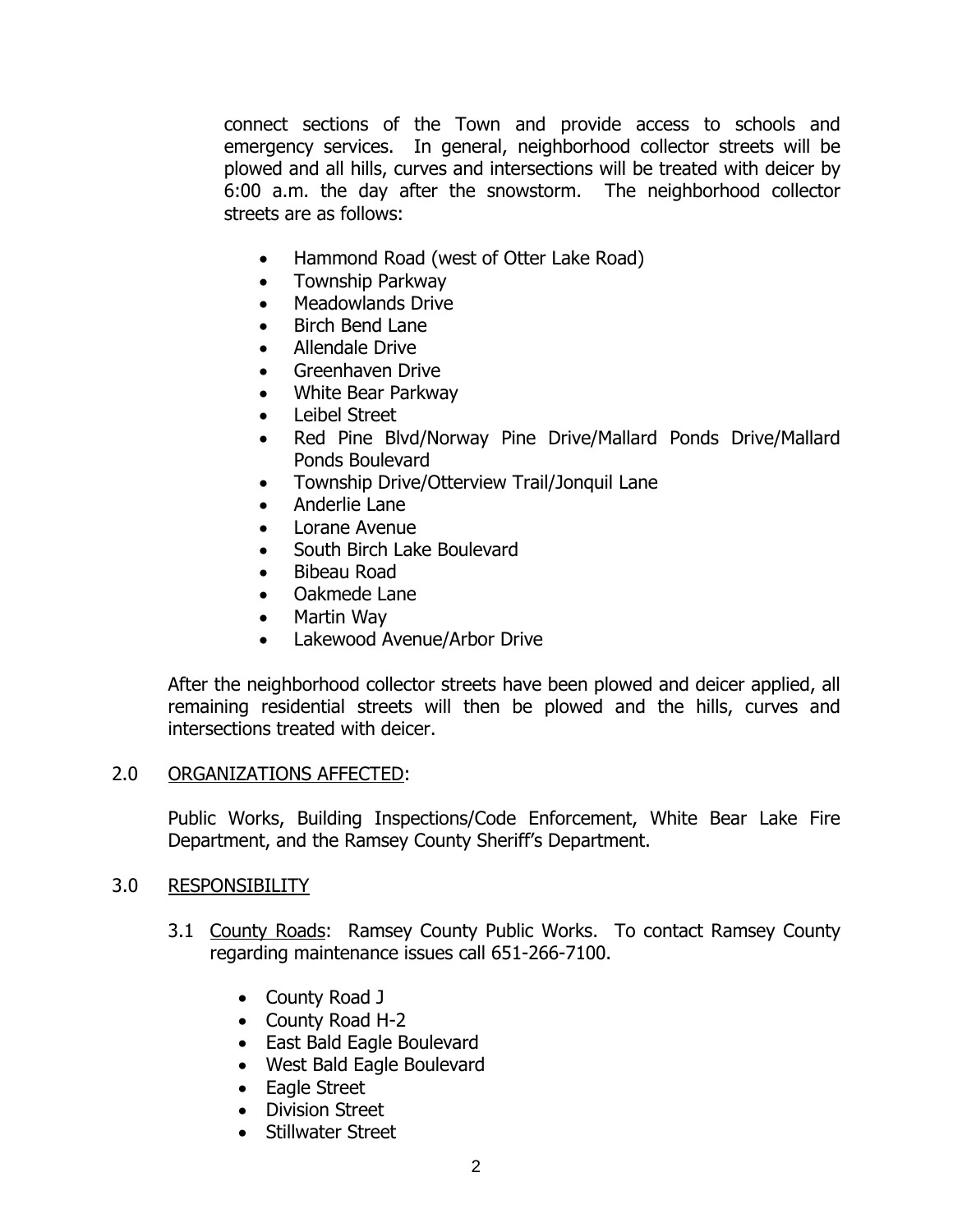connect sections of the Town and provide access to schools and emergency services. In general, neighborhood collector streets will be plowed and all hills, curves and intersections will be treated with deicer by 6:00 a.m. the day after the snowstorm. The neighborhood collector streets are as follows:

- Hammond Road (west of Otter Lake Road)
- Township Parkway
- Meadowlands Drive
- Birch Bend Lane
- Allendale Drive
- Greenhaven Drive
- White Bear Parkway
- Leibel Street
- Red Pine Blvd/Norway Pine Drive/Mallard Ponds Drive/Mallard Ponds Boulevard
- Township Drive/Otterview Trail/Jonquil Lane
- Anderlie Lane
- Lorane Avenue
- South Birch Lake Boulevard
- Bibeau Road
- Oakmede Lane
- Martin Way
- Lakewood Avenue/Arbor Drive

After the neighborhood collector streets have been plowed and deicer applied, all remaining residential streets will then be plowed and the hills, curves and intersections treated with deicer.

#### 2.0 ORGANIZATIONS AFFECTED:

Public Works, Building Inspections/Code Enforcement, White Bear Lake Fire Department, and the Ramsey County Sheriff's Department.

### 3.0 RESPONSIBILITY

- 3.1 County Roads: Ramsey County Public Works. To contact Ramsey County regarding maintenance issues call 651-266-7100.
	- County Road J
	- County Road H-2
	- East Bald Eagle Boulevard
	- West Bald Eagle Boulevard
	- Eagle Street
	- Division Street
	- Stillwater Street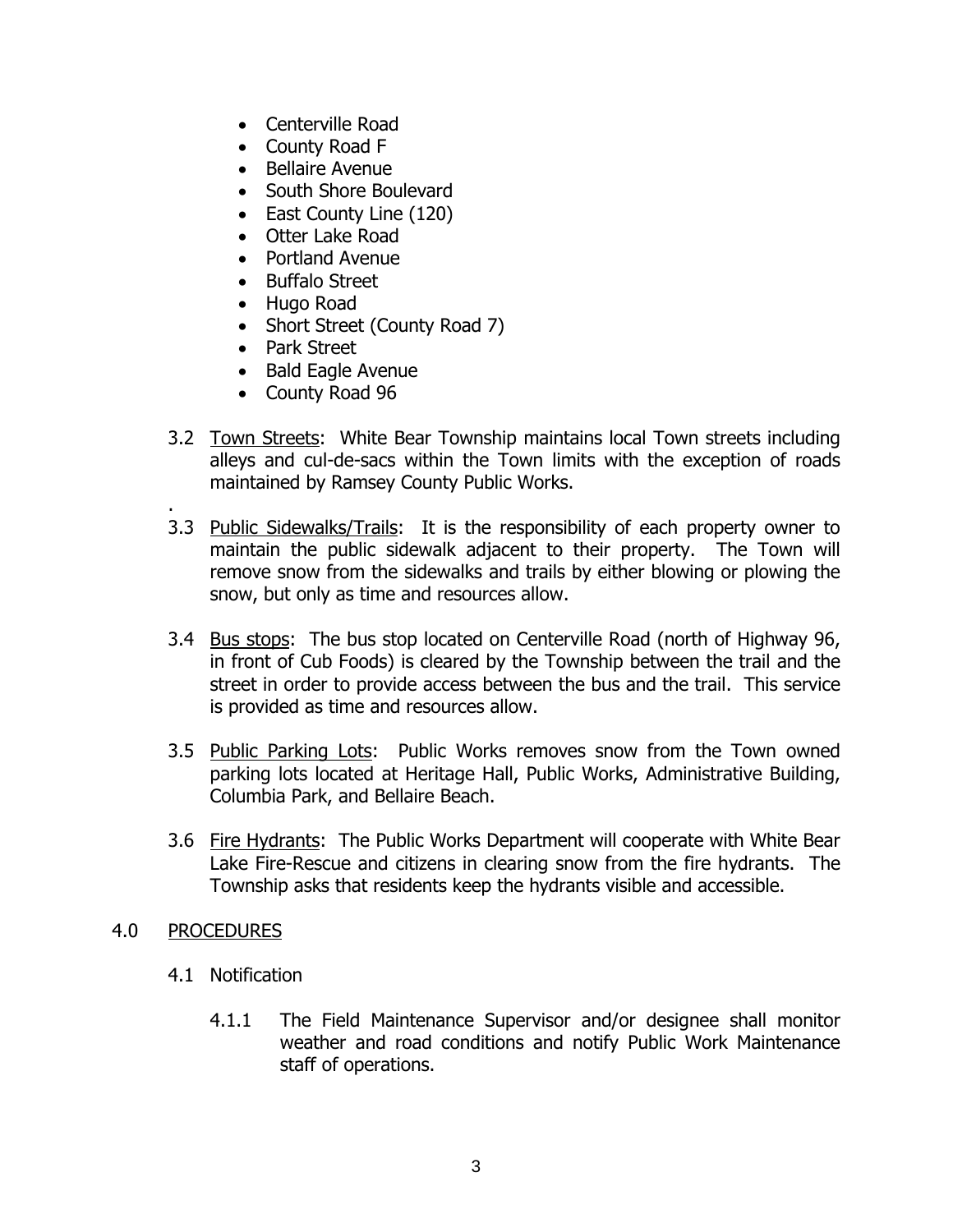- Centerville Road
- County Road F
- **•** Bellaire Avenue
- South Shore Boulevard
- East County Line (120)
- Otter Lake Road
- Portland Avenue
- Buffalo Street
- Hugo Road
- Short Street (County Road 7)
- Park Street
- Bald Eagle Avenue
- County Road 96
- 3.2 Town Streets: White Bear Township maintains local Town streets including alleys and cul-de-sacs within the Town limits with the exception of roads maintained by Ramsey County Public Works.
- 3.3 Public Sidewalks/Trails: It is the responsibility of each property owner to maintain the public sidewalk adjacent to their property. The Town will remove snow from the sidewalks and trails by either blowing or plowing the snow, but only as time and resources allow.
- 3.4 Bus stops: The bus stop located on Centerville Road (north of Highway 96, in front of Cub Foods) is cleared by the Township between the trail and the street in order to provide access between the bus and the trail. This service is provided as time and resources allow.
- 3.5 Public Parking Lots: Public Works removes snow from the Town owned parking lots located at Heritage Hall, Public Works, Administrative Building, Columbia Park, and Bellaire Beach.
- 3.6 Fire Hydrants: The Public Works Department will cooperate with White Bear Lake Fire-Rescue and citizens in clearing snow from the fire hydrants. The Township asks that residents keep the hydrants visible and accessible.

### 4.0 PROCEDURES

.

- 4.1 Notification
	- 4.1.1 The Field Maintenance Supervisor and/or designee shall monitor weather and road conditions and notify Public Work Maintenance staff of operations.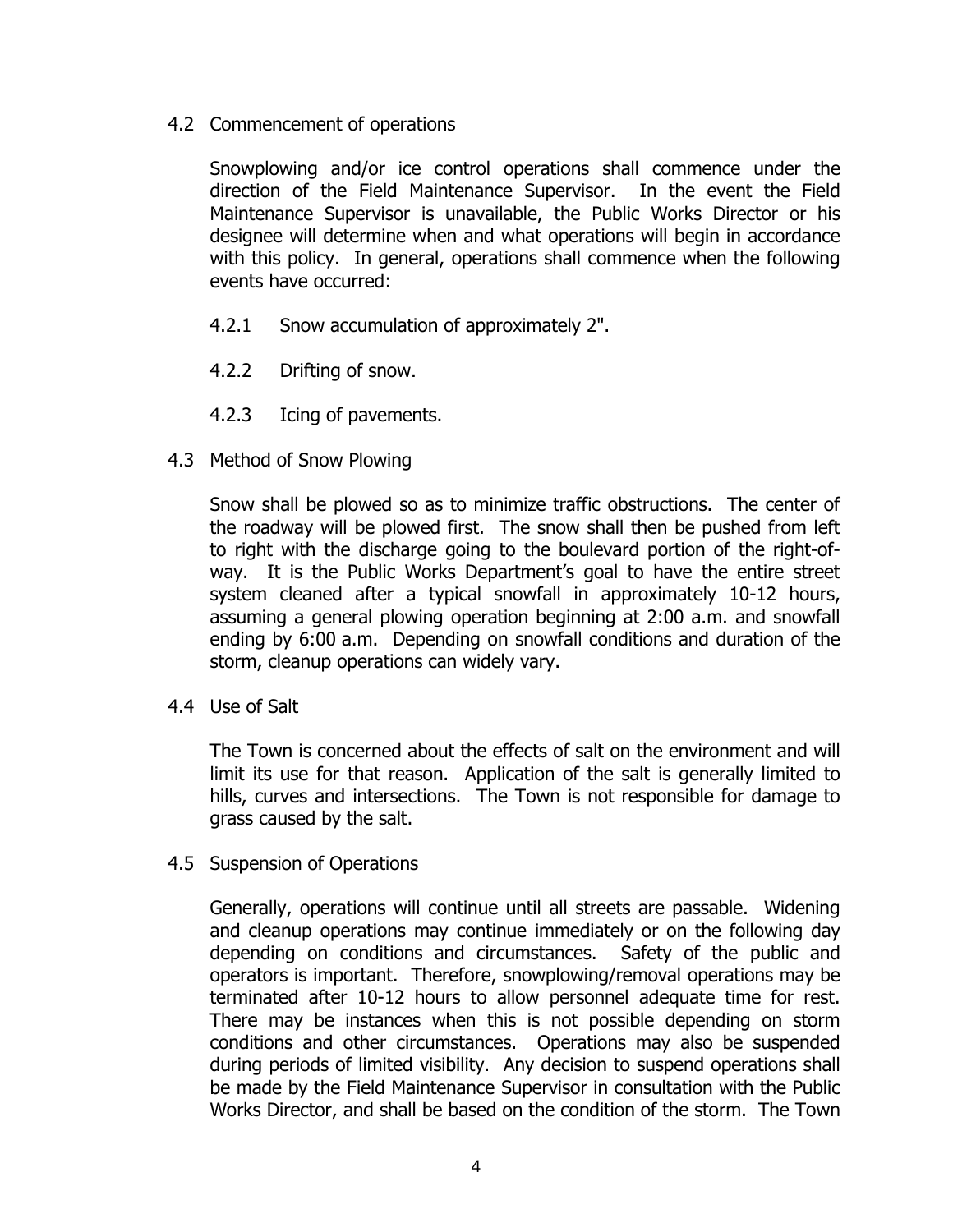4.2 Commencement of operations

Snowplowing and/or ice control operations shall commence under the direction of the Field Maintenance Supervisor. In the event the Field Maintenance Supervisor is unavailable, the Public Works Director or his designee will determine when and what operations will begin in accordance with this policy. In general, operations shall commence when the following events have occurred:

- 4.2.1 Snow accumulation of approximately 2".
- 4.2.2 Drifting of snow.
- 4.2.3 Icing of pavements.
- 4.3 Method of Snow Plowing

Snow shall be plowed so as to minimize traffic obstructions. The center of the roadway will be plowed first. The snow shall then be pushed from left to right with the discharge going to the boulevard portion of the right-ofway. It is the Public Works Department's goal to have the entire street system cleaned after a typical snowfall in approximately 10-12 hours, assuming a general plowing operation beginning at 2:00 a.m. and snowfall ending by 6:00 a.m. Depending on snowfall conditions and duration of the storm, cleanup operations can widely vary.

4.4 Use of Salt

The Town is concerned about the effects of salt on the environment and will limit its use for that reason. Application of the salt is generally limited to hills, curves and intersections. The Town is not responsible for damage to grass caused by the salt.

4.5 Suspension of Operations

Generally, operations will continue until all streets are passable. Widening and cleanup operations may continue immediately or on the following day depending on conditions and circumstances. Safety of the public and operators is important. Therefore, snowplowing/removal operations may be terminated after 10-12 hours to allow personnel adequate time for rest. There may be instances when this is not possible depending on storm conditions and other circumstances. Operations may also be suspended during periods of limited visibility. Any decision to suspend operations shall be made by the Field Maintenance Supervisor in consultation with the Public Works Director, and shall be based on the condition of the storm. The Town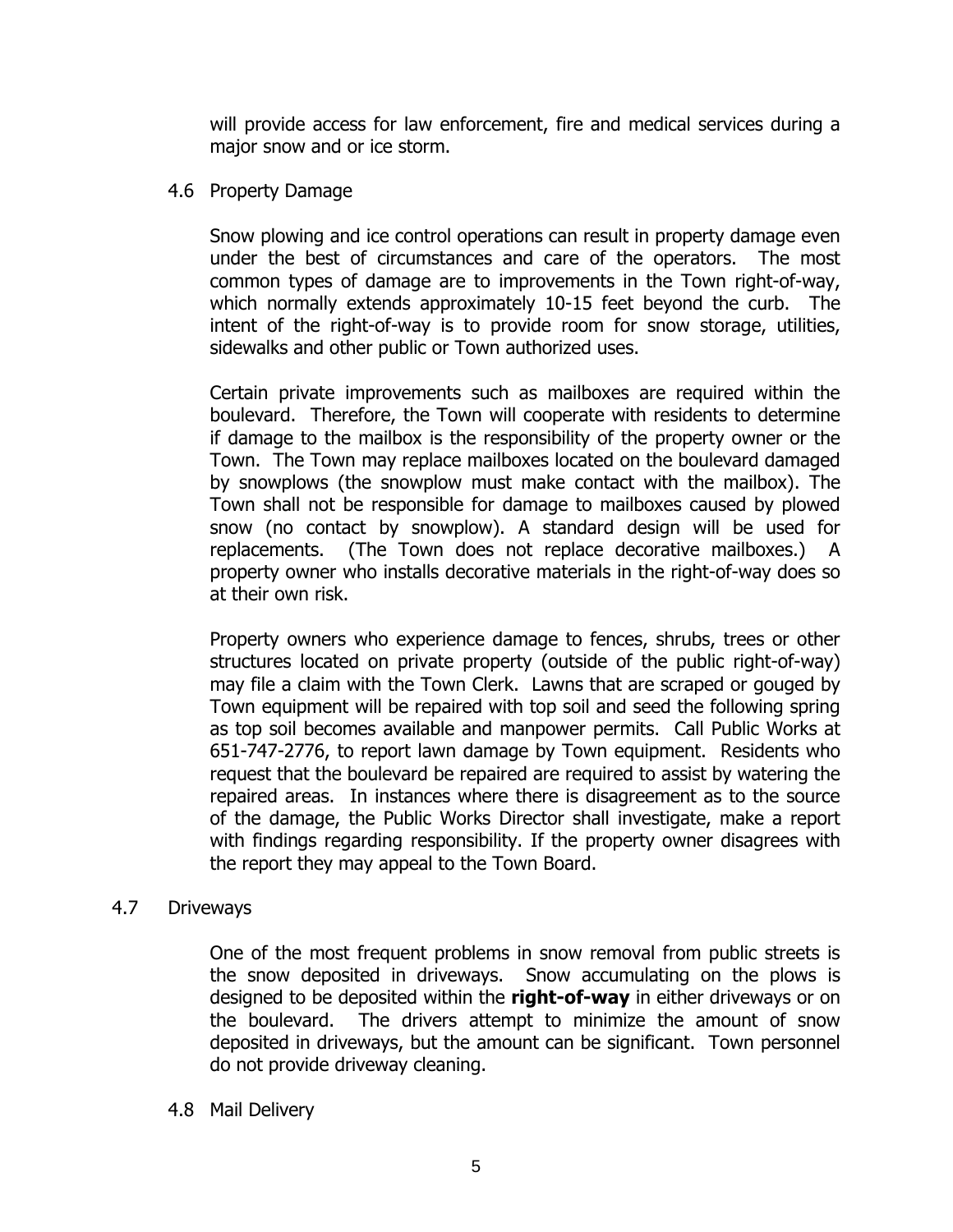will provide access for law enforcement, fire and medical services during a major snow and or ice storm.

### 4.6 Property Damage

Snow plowing and ice control operations can result in property damage even under the best of circumstances and care of the operators. The most common types of damage are to improvements in the Town right-of-way, which normally extends approximately 10-15 feet beyond the curb. The intent of the right-of-way is to provide room for snow storage, utilities, sidewalks and other public or Town authorized uses.

Certain private improvements such as mailboxes are required within the boulevard. Therefore, the Town will cooperate with residents to determine if damage to the mailbox is the responsibility of the property owner or the Town. The Town may replace mailboxes located on the boulevard damaged by snowplows (the snowplow must make contact with the mailbox). The Town shall not be responsible for damage to mailboxes caused by plowed snow (no contact by snowplow). A standard design will be used for replacements. (The Town does not replace decorative mailboxes.) A property owner who installs decorative materials in the right-of-way does so at their own risk.

Property owners who experience damage to fences, shrubs, trees or other structures located on private property (outside of the public right-of-way) may file a claim with the Town Clerk. Lawns that are scraped or gouged by Town equipment will be repaired with top soil and seed the following spring as top soil becomes available and manpower permits. Call Public Works at 651-747-2776, to report lawn damage by Town equipment. Residents who request that the boulevard be repaired are required to assist by watering the repaired areas. In instances where there is disagreement as to the source of the damage, the Public Works Director shall investigate, make a report with findings regarding responsibility. If the property owner disagrees with the report they may appeal to the Town Board.

### 4.7 Driveways

One of the most frequent problems in snow removal from public streets is the snow deposited in driveways. Snow accumulating on the plows is designed to be deposited within the **right-of-way** in either driveways or on the boulevard. The drivers attempt to minimize the amount of snow deposited in driveways, but the amount can be significant. Town personnel do not provide driveway cleaning.

### 4.8 Mail Delivery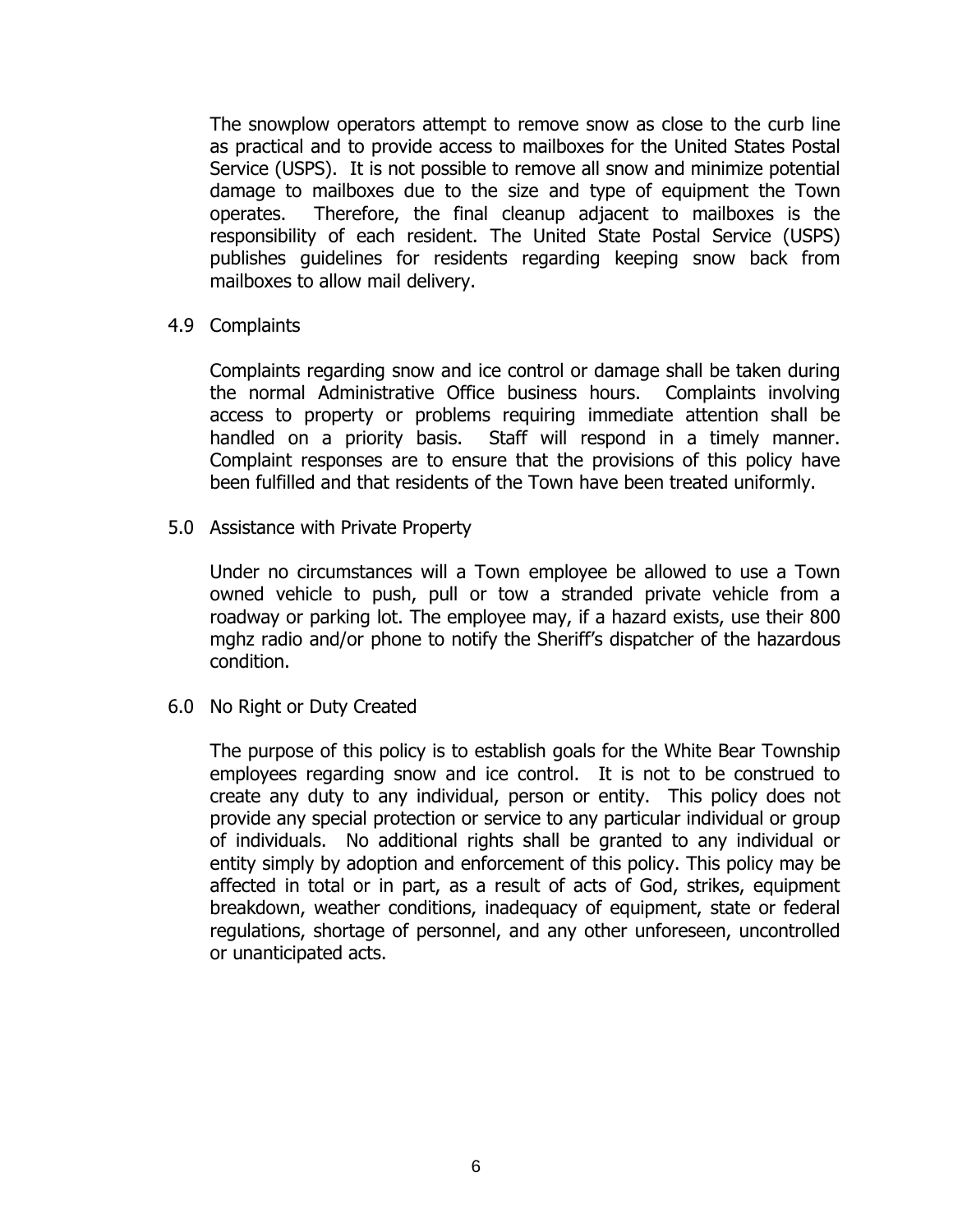The snowplow operators attempt to remove snow as close to the curb line as practical and to provide access to mailboxes for the United States Postal Service (USPS). It is not possible to remove all snow and minimize potential damage to mailboxes due to the size and type of equipment the Town operates. Therefore, the final cleanup adjacent to mailboxes is the responsibility of each resident. The United State Postal Service (USPS) publishes guidelines for residents regarding keeping snow back from mailboxes to allow mail delivery.

4.9 Complaints

Complaints regarding snow and ice control or damage shall be taken during the normal Administrative Office business hours. Complaints involving access to property or problems requiring immediate attention shall be handled on a priority basis. Staff will respond in a timely manner. Complaint responses are to ensure that the provisions of this policy have been fulfilled and that residents of the Town have been treated uniformly.

5.0 Assistance with Private Property

Under no circumstances will a Town employee be allowed to use a Town owned vehicle to push, pull or tow a stranded private vehicle from a roadway or parking lot. The employee may, if a hazard exists, use their 800 mghz radio and/or phone to notify the Sheriff's dispatcher of the hazardous condition.

6.0 No Right or Duty Created

The purpose of this policy is to establish goals for the White Bear Township employees regarding snow and ice control. It is not to be construed to create any duty to any individual, person or entity. This policy does not provide any special protection or service to any particular individual or group of individuals. No additional rights shall be granted to any individual or entity simply by adoption and enforcement of this policy. This policy may be affected in total or in part, as a result of acts of God, strikes, equipment breakdown, weather conditions, inadequacy of equipment, state or federal regulations, shortage of personnel, and any other unforeseen, uncontrolled or unanticipated acts.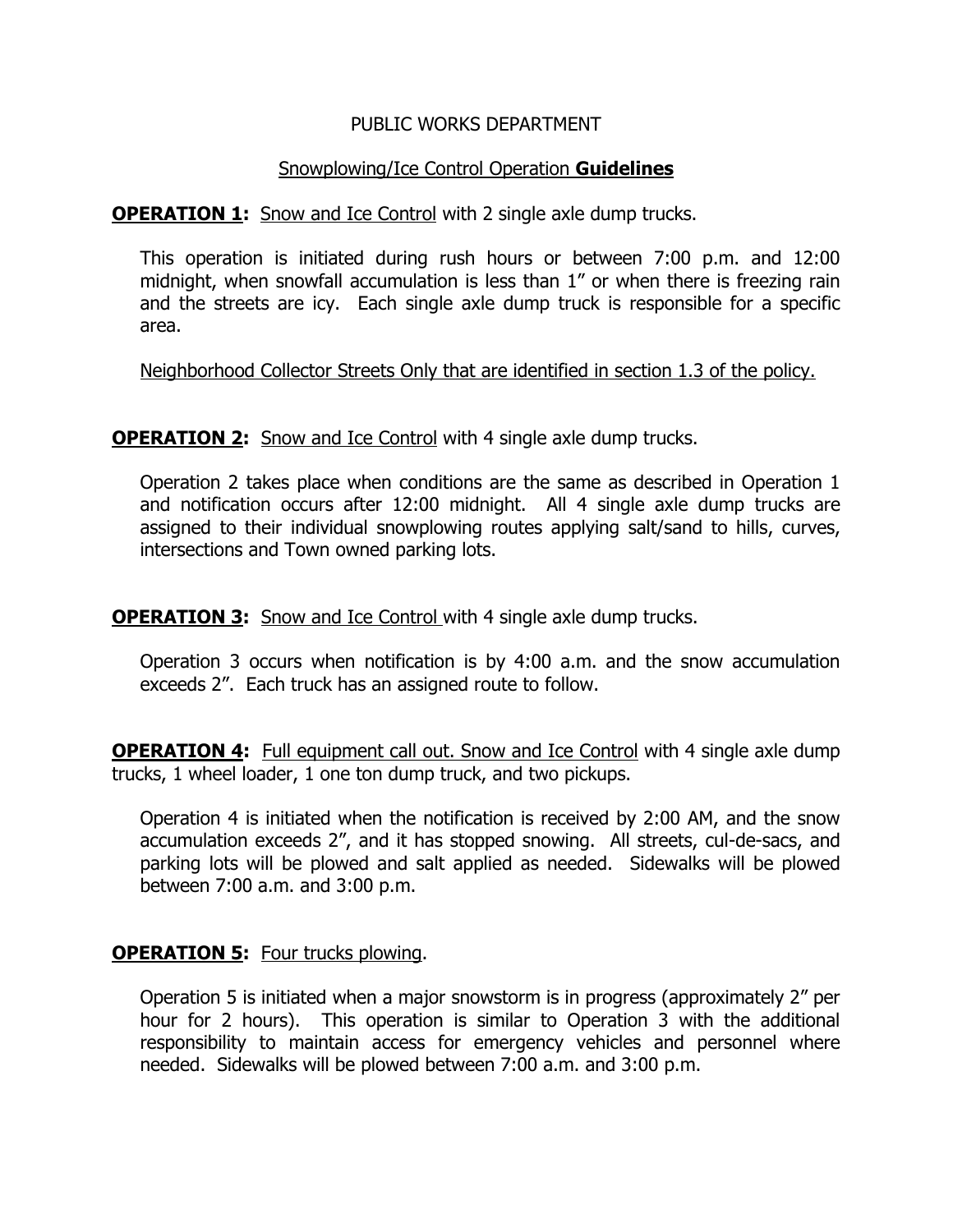### PUBLIC WORKS DEPARTMENT

### Snowplowing/Ice Control Operation **Guidelines**

**OPERATION 1:** Snow and Ice Control with 2 single axle dump trucks.

This operation is initiated during rush hours or between 7:00 p.m. and 12:00 midnight, when snowfall accumulation is less than 1" or when there is freezing rain and the streets are icy. Each single axle dump truck is responsible for a specific area.

Neighborhood Collector Streets Only that are identified in section 1.3 of the policy.

**OPERATION 2:** Snow and Ice Control with 4 single axle dump trucks.

Operation 2 takes place when conditions are the same as described in Operation 1 and notification occurs after 12:00 midnight. All 4 single axle dump trucks are assigned to their individual snowplowing routes applying salt/sand to hills, curves, intersections and Town owned parking lots.

**OPERATION 3:** Snow and Ice Control with 4 single axle dump trucks.

Operation 3 occurs when notification is by 4:00 a.m. and the snow accumulation exceeds 2". Each truck has an assigned route to follow.

**OPERATION 4:** Full equipment call out. Snow and Ice Control with 4 single axle dump trucks, 1 wheel loader, 1 one ton dump truck, and two pickups.

Operation 4 is initiated when the notification is received by 2:00 AM, and the snow accumulation exceeds 2", and it has stopped snowing. All streets, cul-de-sacs, and parking lots will be plowed and salt applied as needed. Sidewalks will be plowed between 7:00 a.m. and 3:00 p.m.

### **OPERATION 5:** Four trucks plowing.

Operation 5 is initiated when a major snowstorm is in progress (approximately 2" per hour for 2 hours). This operation is similar to Operation 3 with the additional responsibility to maintain access for emergency vehicles and personnel where needed. Sidewalks will be plowed between 7:00 a.m. and 3:00 p.m.